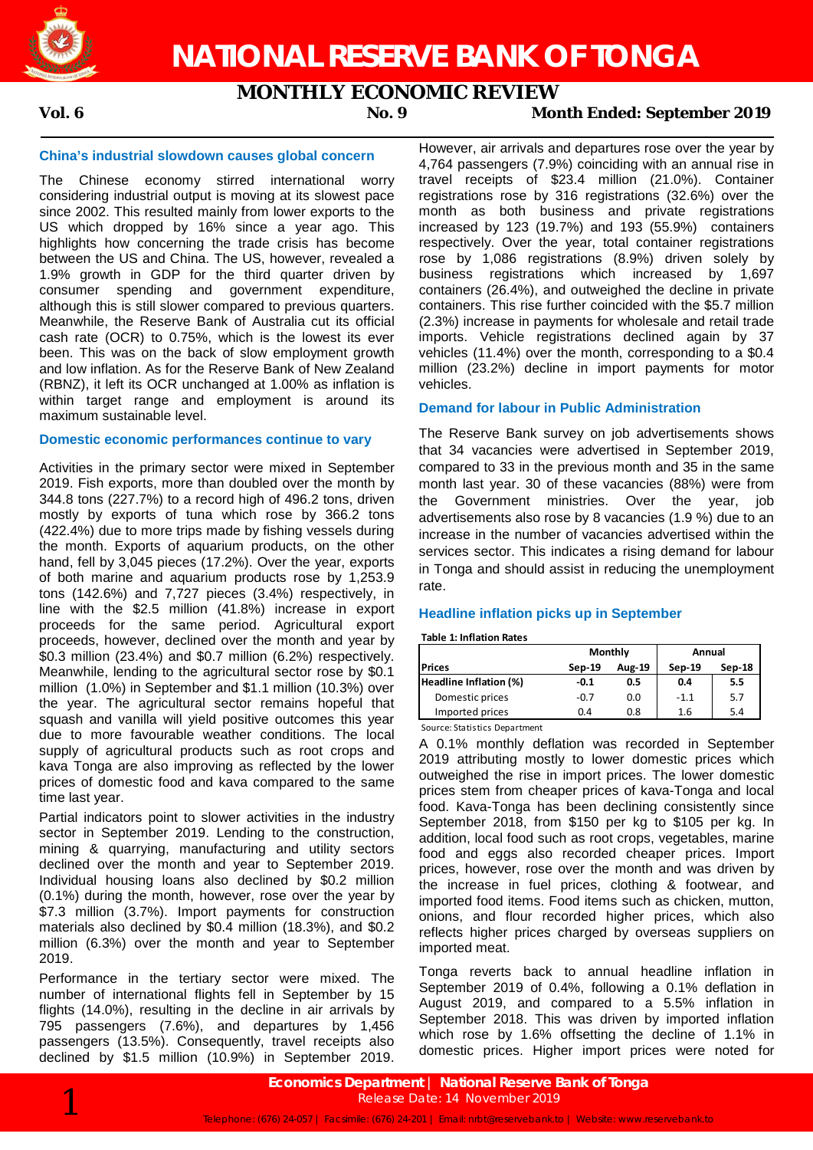

## **MONTHLY ECONOMIC REVIEW**

### **Vol. 6 No. 9 Month Ended: September 2019**

#### **China's industrial slowdown causes global concern**

The Chinese economy stirred international worry considering industrial output is moving at its slowest pace since 2002. This resulted mainly from lower exports to the US which dropped by 16% since a year ago. This highlights how concerning the trade crisis has become between the US and China. The US, however, revealed a 1.9% growth in GDP for the third quarter driven by consumer spending and government expenditure, although this is still slower compared to previous quarters. Meanwhile, the Reserve Bank of Australia cut its official cash rate (OCR) to 0.75%, which is the lowest its ever been. This was on the back of slow employment growth and low inflation. As for the Reserve Bank of New Zealand (RBNZ), it left its OCR unchanged at 1.00% as inflation is within target range and employment is around its maximum sustainable level.

#### **Domestic economic performances continue to vary**

Activities in the primary sector were mixed in September 2019. Fish exports, more than doubled over the month by 344.8 tons (227.7%) to a record high of 496.2 tons, driven mostly by exports of tuna which rose by 366.2 tons (422.4%) due to more trips made by fishing vessels during the month. Exports of aquarium products, on the other hand, fell by 3,045 pieces (17.2%). Over the year, exports of both marine and aquarium products rose by 1,253.9 tons (142.6%) and 7,727 pieces (3.4%) respectively, in line with the \$2.5 million (41.8%) increase in export proceeds for the same period. Agricultural export proceeds, however, declined over the month and year by \$0.3 million (23.4%) and \$0.7 million (6.2%) respectively. Meanwhile, lending to the agricultural sector rose by \$0.1 million (1.0%) in September and \$1.1 million (10.3%) over the year. The agricultural sector remains hopeful that squash and vanilla will yield positive outcomes this year due to more favourable weather conditions. The local supply of agricultural products such as root crops and kava Tonga are also improving as reflected by the lower prices of domestic food and kava compared to the same time last year.

Partial indicators point to slower activities in the industry sector in September 2019. Lending to the construction, mining & quarrying, manufacturing and utility sectors declined over the month and year to September 2019. Individual housing loans also declined by \$0.2 million (0.1%) during the month, however, rose over the year by \$7.3 million (3.7%). Import payments for construction materials also declined by \$0.4 million (18.3%), and \$0.2 million (6.3%) over the month and year to September 2019.

Performance in the tertiary sector were mixed. The number of international flights fell in September by 15 flights (14.0%), resulting in the decline in air arrivals by 795 passengers (7.6%), and departures by 1,456 passengers (13.5%). Consequently, travel receipts also declined by \$1.5 million (10.9%) in September 2019.

However, air arrivals and departures rose over the year by 4,764 passengers (7.9%) coinciding with an annual rise in travel receipts of \$23.4 million (21.0%). Container registrations rose by 316 registrations (32.6%) over the month as both business and private registrations increased by 123 (19.7%) and 193 (55.9%) containers respectively. Over the year, total container registrations rose by 1,086 registrations (8.9%) driven solely by business registrations which increased by 1,697 containers (26.4%), and outweighed the decline in private containers. This rise further coincided with the \$5.7 million (2.3%) increase in payments for wholesale and retail trade imports. Vehicle registrations declined again by 37 vehicles (11.4%) over the month, corresponding to a \$0.4 million (23.2%) decline in import payments for motor vehicles.

#### **Demand for labour in Public Administration**

The Reserve Bank survey on job advertisements shows that 34 vacancies were advertised in September 2019, compared to 33 in the previous month and 35 in the same month last year. 30 of these vacancies (88%) were from the Government ministries. Over the year, job advertisements also rose by 8 vacancies (1.9 %) due to an increase in the number of vacancies advertised within the services sector. This indicates a rising demand for labour in Tonga and should assist in reducing the unemployment rate.

#### **Headline inflation picks up in September**

#### **Table 1: Inflation Rates**

|                        |          | Monthly | Annual   |        |  |
|------------------------|----------|---------|----------|--------|--|
| <b>Prices</b>          | $Sep-19$ | Aug-19  | $Sep-19$ | Sep-18 |  |
| Headline Inflation (%) | -0.1     | 0.5     | 0.4      | 5.5    |  |
| Domestic prices        | $-0.7$   | 0.0     | $-1.1$   | 5.7    |  |
| Imported prices        | 0.4      | 0.8     | 1.6      | 5.4    |  |

Source: Statistics Department

A 0.1% monthly deflation was recorded in September 2019 attributing mostly to lower domestic prices which outweighed the rise in import prices. The lower domestic prices stem from cheaper prices of kava-Tonga and local food. Kava-Tonga has been declining consistently since September 2018, from \$150 per kg to \$105 per kg. In addition, local food such as root crops, vegetables, marine food and eggs also recorded cheaper prices. Import prices, however, rose over the month and was driven by the increase in fuel prices, clothing & footwear, and imported food items. Food items such as chicken, mutton, onions, and flour recorded higher prices, which also reflects higher prices charged by overseas suppliers on imported meat.

Tonga reverts back to annual headline inflation in September 2019 of 0.4%, following a 0.1% deflation in August 2019, and compared to a 5.5% inflation in September 2018. This was driven by imported inflation which rose by 1.6% offsetting the decline of 1.1% in domestic prices. Higher import prices were noted for

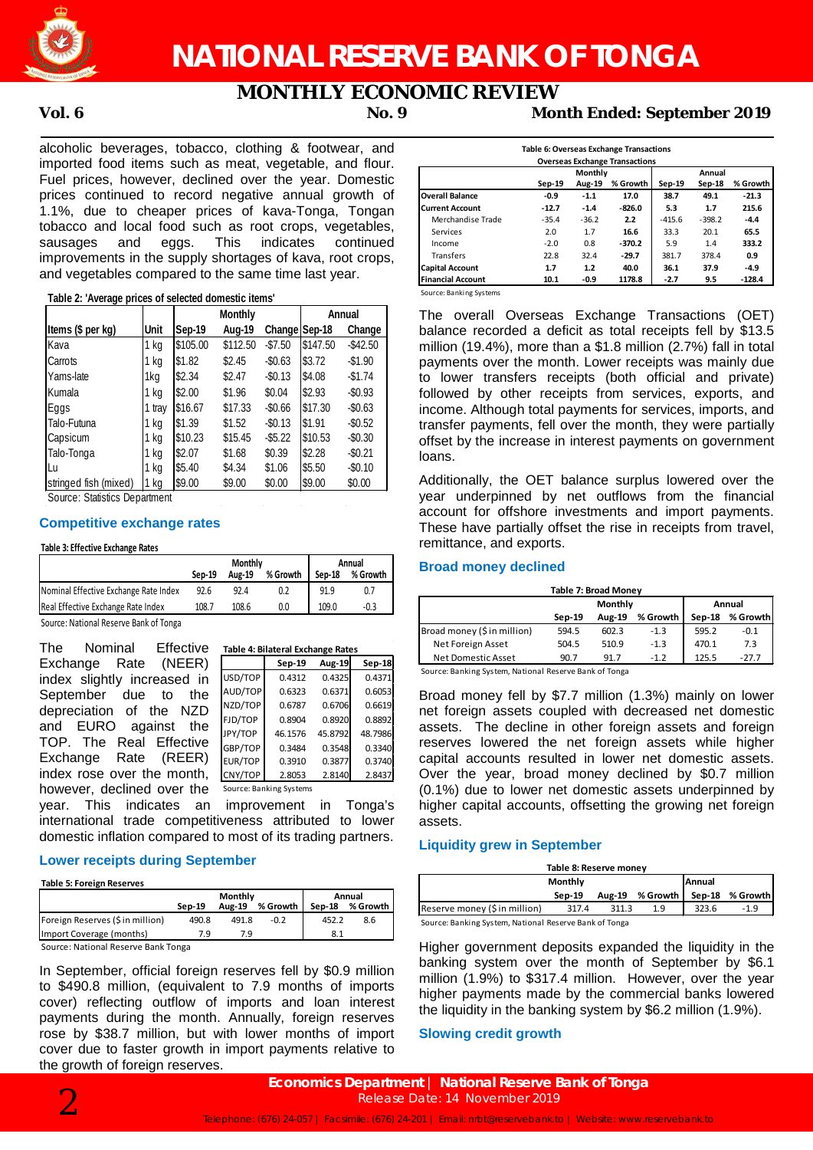

# **NATIONAL RESERVE BANK OF TONGA**

# **MONTHLY ECONOMIC REVIEW**

**Vol. 6 No. 9 Month Ended: September 2019**

alcoholic beverages, tobacco, clothing & footwear, and imported food items such as meat, vegetable, and flour. Fuel prices, however, declined over the year. Domestic prices continued to record negative annual growth of 1.1%, due to cheaper prices of kava-Tonga, Tongan tobacco and local food such as root crops, vegetables, sausages and eggs. This indicates continued improvements in the supply shortages of kava, root crops, and vegetables compared to the same time last year.

#### **Table 2: 'Average prices of selected domestic items'**

|                       |        | Monthly  |          |               | Annual   |           |  |
|-----------------------|--------|----------|----------|---------------|----------|-----------|--|
| Items (\$ per kg)     | Unit   | Sep-19   | Aug-19   | Change Sep-18 |          | Change    |  |
| Kava                  | 1 kg   | \$105.00 | \$112.50 | $-$7.50$      | \$147.50 | $-$42.50$ |  |
| Carrots               | 1 kg   | \$1.82   | \$2.45   | $-$0.63$      | \$3.72   | $-$1.90$  |  |
| Yams-late             | 1kg    | \$2.34   | \$2.47   | $-$0.13$      | \$4.08   | $-$1.74$  |  |
| Kumala                | 1 kg   | \$2.00   | \$1.96   | \$0.04        | \$2.93   | $-$0.93$  |  |
| Eggs                  | 1 tray | \$16.67  | \$17.33  | $-$0.66$      | \$17.30  | $-$0.63$  |  |
| Talo-Futuna           | 1 kg   | \$1.39   | \$1.52   | $-$0.13$      | \$1.91   | $-$0.52$  |  |
| Capsicum              | 1 kg   | \$10.23  | \$15.45  | $-$ \$5.22    | \$10.53  | $-$0.30$  |  |
| Talo-Tonga            | 1 kg   | \$2.07   | \$1.68   | \$0.39        | \$2.28   | $-$0.21$  |  |
| Lu                    | 1 kg   | \$5.40   | \$4.34   | \$1.06        | \$5.50   | $-$0.10$  |  |
| stringed fish (mixed) | kg     | \$9.00   | \$9.00   | \$0.00        | \$9.00   | \$0.00    |  |

Source: Statistics Department

#### **Competitive exchange rates**

#### **Table 3: Effective Exchange Rates**

|                                         | <b>Monthly</b> |        |          | Annual |          |  |
|-----------------------------------------|----------------|--------|----------|--------|----------|--|
|                                         | Sep-19         | Aug-19 | % Growth | Sep-18 | % Growth |  |
| Nominal Effective Exchange Rate Index   | 92.6           | 92.4   | 0.2      | 91.9   | 0.7      |  |
| Real Effective Exchange Rate Index      | 108.7          | 108.6  | 0.0      | 109.0  | -0.3     |  |
| Course: Notional Desamio Danli of Tongo |                |        |          |        |          |  |

Source: National Reserve Bank of Tonga

| The<br>Nominal Effective    |         | Table 4: Bilateral Exchange Rates |               |         |
|-----------------------------|---------|-----------------------------------|---------------|---------|
| (NEER)<br>Rate<br>Exchange  |         | Sep-19                            | <b>Aug-19</b> | Sep-18  |
| index slightly increased in | USD/TOP | 0.4312                            | 0.4325        | 0.4371  |
| September due to<br>the     | AUD/TOP | 0.6323                            | 0.6371        | 0.6053  |
| depreciation of the NZD     | NZD/TOP | 0.6787                            | 0.6706        | 0.6619  |
| and EURO<br>against<br>the  | FJD/TOP | 0.8904                            | 0.8920        | 0.8892  |
|                             | JPY/TOP | 46.1576                           | 45.8792       | 48.7986 |
| TOP. The Real Effective     | GBP/TOP | 0.3484                            | 0.3548        | 0.3340  |
| Rate<br>Exchange<br>(REER)  | EUR/TOP | 0.3910                            | 0.3877        | 0.3740  |
| index rose over the month,  | CNY/TOP | 2.8053                            | 2.8140        | 2.8437  |
| however, declined over the  |         | Source: Banking Systems           |               |         |

year. This indicates an improvement in Tonga's international trade competitiveness attributed to lower domestic inflation compared to most of its trading partners.

#### **Lower receipts during September**

**Table 5: Foreign Reserves**

|                                     | Monthly |               |          | Annual |                 |  |
|-------------------------------------|---------|---------------|----------|--------|-----------------|--|
|                                     | Sep-19  | <b>Aug-19</b> | % Growth |        | Sep-18 % Growth |  |
| Foreign Reserves (\$ in million)    | 490.8   | 491.8         | $-0.2$   | 452.2  | 8.6             |  |
| Import Coverage (months)            | 79      | 7.9           |          | 8.1    |                 |  |
| Source: National Reserve Bank Tonga |         |               |          |        |                 |  |

In September, official foreign reserves fell by \$0.9 million to \$490.8 million, (equivalent to 7.9 months of imports cover) reflecting outflow of imports and loan interest payments during the month. Annually, foreign reserves rose by \$38.7 million, but with lower months of import cover due to faster growth in import payments relative to the growth of foreign reserves.

|                          |                                                   |         |          |          |          | Table 6: Overseas Exchange Transactions<br><b>Overseas Exchange Transactions</b> |  |  |  |  |  |
|--------------------------|---------------------------------------------------|---------|----------|----------|----------|----------------------------------------------------------------------------------|--|--|--|--|--|
| Annual                   |                                                   |         |          |          |          |                                                                                  |  |  |  |  |  |
|                          | Monthly<br>% Growth<br>Aug-19<br>Sep-19<br>Sep-19 |         |          |          | Sep-18   | % Growth                                                                         |  |  |  |  |  |
| <b>Overall Balance</b>   | $-0.9$                                            | $-1.1$  | 17.0     | 38.7     | 49.1     | $-21.3$                                                                          |  |  |  |  |  |
| <b>Current Account</b>   | $-12.7$                                           | $-1.4$  | $-826.0$ | 5.3      | 1.7      | 215.6                                                                            |  |  |  |  |  |
| Merchandise Trade        | $-35.4$                                           | $-36.2$ | 2.2      | $-415.6$ | $-398.2$ | $-4.4$                                                                           |  |  |  |  |  |
| Services                 | 2.0                                               | 1.7     | 16.6     | 33.3     | 20.1     | 65.5                                                                             |  |  |  |  |  |
| Income                   | $-2.0$                                            | 0.8     | $-370.2$ | 5.9      | 1.4      | 333.2                                                                            |  |  |  |  |  |
| Transfers                | 22.8                                              | 32.4    | $-29.7$  | 381.7    | 378.4    | 0.9                                                                              |  |  |  |  |  |
| <b>Capital Account</b>   | 1.7                                               | 1.2     | 40.0     | 36.1     | 37.9     | $-4.9$                                                                           |  |  |  |  |  |
| <b>Financial Account</b> | 10.1                                              | -0.9    | 1178.8   | $-2.7$   | 9.5      | $-128.4$                                                                         |  |  |  |  |  |

Source: Banking Systems

The overall Overseas Exchange Transactions (OET) balance recorded a deficit as total receipts fell by \$13.5 million (19.4%), more than a \$1.8 million (2.7%) fall in total payments over the month. Lower receipts was mainly due to lower transfers receipts (both official and private) followed by other receipts from services, exports, and income. Although total payments for services, imports, and transfer payments, fell over the month, they were partially offset by the increase in interest payments on government loans.

Additionally, the OET balance surplus lowered over the year underpinned by net outflows from the financial account for offshore investments and import payments. These have partially offset the rise in receipts from travel, remittance, and exports.

#### **Broad money declined**

| <b>Table 7: Broad Money</b> |        |               |          |        |          |  |  |
|-----------------------------|--------|---------------|----------|--------|----------|--|--|
|                             |        | Monthly       | Annual   |        |          |  |  |
|                             | Sep-19 | <b>Aug-19</b> | % Growth | Sep-18 | % Growth |  |  |
| Broad money (\$ in million) | 594.5  | 602.3         | $-1.3$   | 595.2  | $-0.1$   |  |  |
| Net Foreign Asset           | 504.5  | 510.9         | $-1.3$   | 470.1  | 7.3      |  |  |
| Net Domestic Asset          | 90.7   | 91.7          | $-1.2$   | 125.5  | $-27.7$  |  |  |

Source: Banking System, National Reserve Bank of Tonga

Broad money fell by \$7.7 million (1.3%) mainly on lower net foreign assets coupled with decreased net domestic assets. The decline in other foreign assets and foreign reserves lowered the net foreign assets while higher capital accounts resulted in lower net domestic assets. Over the year, broad money declined by \$0.7 million (0.1%) due to lower net domestic assets underpinned by higher capital accounts, offsetting the growing net foreign assets.

#### **Liquidity grew in September**

| Table 8: Reserve money                                 |                          |       |                 |       |                 |  |  |
|--------------------------------------------------------|--------------------------|-------|-----------------|-------|-----------------|--|--|
|                                                        | Monthly<br><b>Annual</b> |       |                 |       |                 |  |  |
|                                                        | Sep-19                   |       | Aug-19 % Growth |       | Sep-18 % Growth |  |  |
| Reserve money (\$ in million)                          | 317.4                    | 311.3 | 1.9             | 323.6 | -1.9            |  |  |
| Source: Banking System, National Reserve Bank of Tonga |                          |       |                 |       |                 |  |  |

ng System, National Reserve Bank of Tonga

Higher government deposits expanded the liquidity in the banking system over the month of September by \$6.1 million (1.9%) to \$317.4 million. However, over the year higher payments made by the commercial banks lowered the liquidity in the banking system by \$6.2 million (1.9%).

#### **Slowing credit growth**